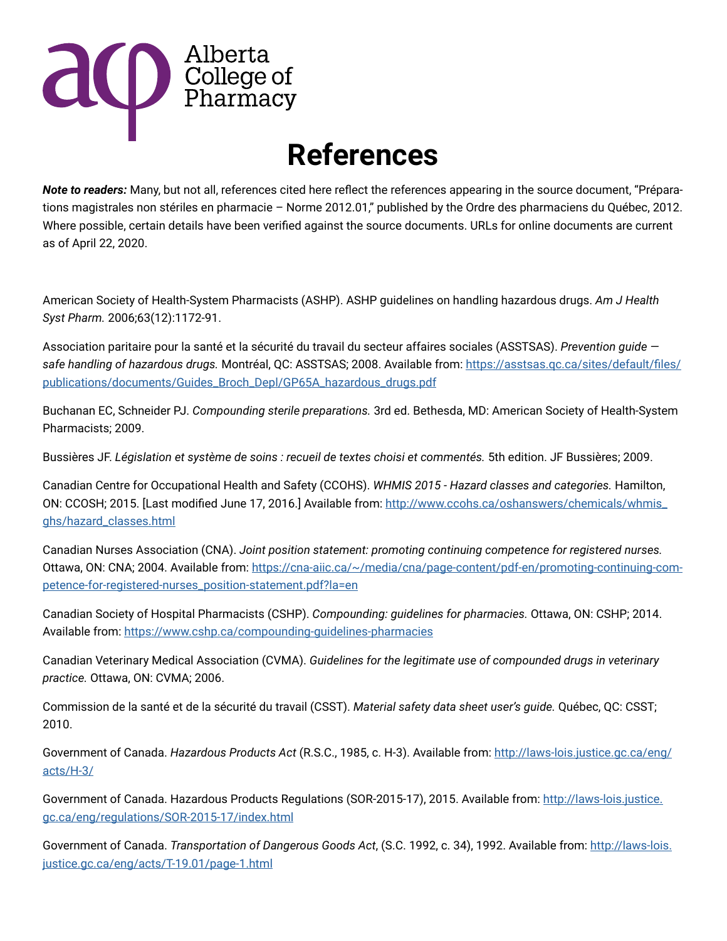## al College of<br>Pharmacy

## **References**

*Note to readers:* Many, but not all, references cited here reflect the references appearing in the source document, "Préparations magistrales non stériles en pharmacie – Norme 2012.01," published by the Ordre des pharmaciens du Québec, 2012. Where possible, certain details have been verified against the source documents. URLs for online documents are current as of April 22, 2020.

American Society of Health-System Pharmacists (ASHP). ASHP guidelines on handling hazardous drugs. *Am J Health Syst Pharm.* 2006;63(12):1172-91.

Association paritaire pour la santé et la sécurité du travail du secteur affaires sociales (ASSTSAS). *Prevention guide safe handling of hazardous drugs.* Montréal, QC: ASSTSAS; 2008. Available from: [https://asstsas.qc.ca/sites/default/files/](https://asstsas.qc.ca/sites/default/files/publications/documents/Guides_Broch_Depl/GP65A_hazardous_drugs.pdf) [publications/documents/Guides\\_Broch\\_Depl/GP65A\\_hazardous\\_drugs.pdf](https://asstsas.qc.ca/sites/default/files/publications/documents/Guides_Broch_Depl/GP65A_hazardous_drugs.pdf)

Buchanan EC, Schneider PJ. *Compounding sterile preparations.* 3rd ed. Bethesda, MD: American Society of Health-System Pharmacists; 2009.

Bussières JF. *Législation et système de soins : recueil de textes choisi et commentés.* 5th edition. JF Bussières; 2009.

Canadian Centre for Occupational Health and Safety (CCOHS). *WHMIS 2015 - Hazard classes and categories.* Hamilton, ON: CCOSH; 2015. [Last modified June 17, 2016.] Available from: [http://www.ccohs.ca/oshanswers/chemicals/whmis\\_](http://www.ccohs.ca/oshanswers/chemicals/whmis_ghs/hazard_classes.html) [ghs/hazard\\_classes.html](http://www.ccohs.ca/oshanswers/chemicals/whmis_ghs/hazard_classes.html)

Canadian Nurses Association (CNA). *Joint position statement: promoting continuing competence for registered nurses.* Ottawa, ON: CNA; 2004. Available from: [https://cna-aiic.ca/~/media/cna/page-content/pdf-en/promoting-continuing-com](https://cna-aiic.ca/~/media/cna/page-content/pdf-en/promoting-continuing-competence-for-registered-nurses_position-statement.pdf?la=en )[petence-for-registered-nurses\\_position-statement.pdf?la=en](https://cna-aiic.ca/~/media/cna/page-content/pdf-en/promoting-continuing-competence-for-registered-nurses_position-statement.pdf?la=en )

Canadian Society of Hospital Pharmacists (CSHP). *Compounding: guidelines for pharmacies.* Ottawa, ON: CSHP; 2014. Available from: <https://www.cshp.ca/compounding-guidelines-pharmacies>

Canadian Veterinary Medical Association (CVMA). *Guidelines for the legitimate use of compounded drugs in veterinary practice.* Ottawa, ON: CVMA; 2006.

Commission de la santé et de la sécurité du travail (CSST). *Material safety data sheet user's guide.* Québec, QC: CSST; 2010.

Government of Canada. *Hazardous Products Act* (R.S.C., 1985, c. H-3). Available from: [http://laws-lois.justice.gc.ca/eng/](http://laws-lois.justice.gc.ca/eng/acts/H-3/) [acts/H-3/](http://laws-lois.justice.gc.ca/eng/acts/H-3/)

Government of Canada. Hazardous Products Regulations (SOR-2015-17), 2015. Available from: [http://laws-lois.justice.](http://laws-lois.justice.gc.ca/eng/regulations/SOR-2015-17/index.html) [gc.ca/eng/regulations/SOR-2015-17/index.html](http://laws-lois.justice.gc.ca/eng/regulations/SOR-2015-17/index.html)

Government of Canada. *Transportation of Dangerous Goods Act*, (S.C. 1992, c. 34), 1992. Available from: [http://laws-lois.](http://laws-lois.justice.gc.ca/eng/acts/T-19.01/page-1.html) [justice.gc.ca/eng/acts/T-19.01/page-1.html](http://laws-lois.justice.gc.ca/eng/acts/T-19.01/page-1.html)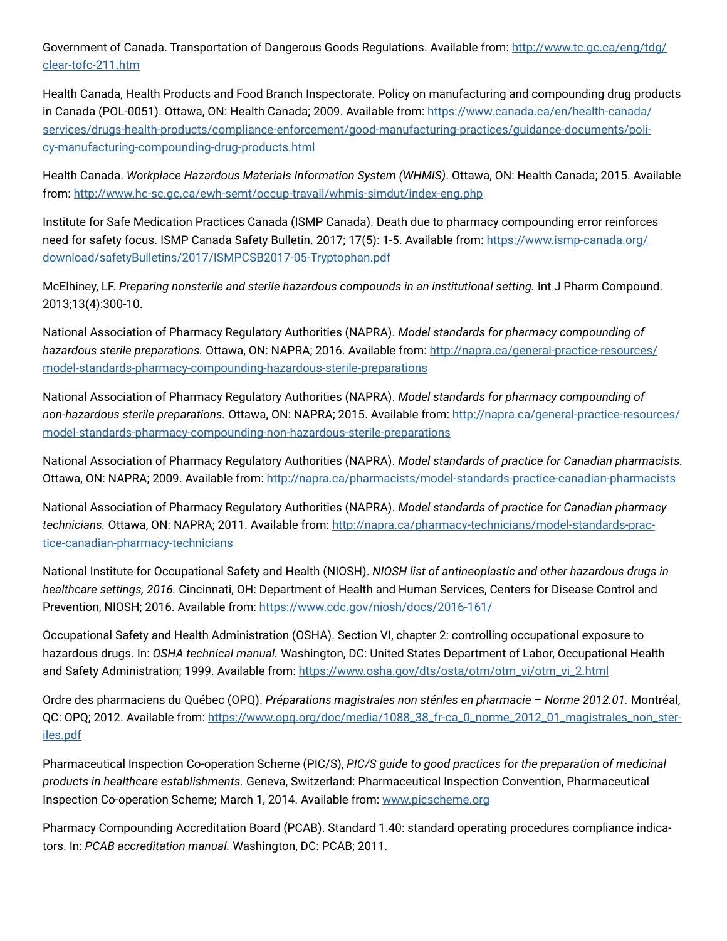Government of Canada. Transportation of Dangerous Goods Regulations. Available from: [http://www.tc.gc.ca/eng/tdg/](http://www.tc.gc.ca/eng/tdg/clear-tofc-211.htm) [clear-tofc-211.htm](http://www.tc.gc.ca/eng/tdg/clear-tofc-211.htm)

Health Canada, Health Products and Food Branch Inspectorate. Policy on manufacturing and compounding drug products in Canada (POL-0051). Ottawa, ON: Health Canada; 2009. Available from: [https://www.canada.ca/en/health-canada/](https://www.canada.ca/en/health-canada/services/drugs-health-products/compliance-enforcement/good-manufacturing-practices/guidance-documents/policy-manufacturing-compounding-drug-products.html) [services/drugs-health-products/compliance-enforcement/good-manufacturing-practices/guidance-documents/poli](https://www.canada.ca/en/health-canada/services/drugs-health-products/compliance-enforcement/good-manufacturing-practices/guidance-documents/policy-manufacturing-compounding-drug-products.html)[cy-manufacturing-compounding-drug-products.html](https://www.canada.ca/en/health-canada/services/drugs-health-products/compliance-enforcement/good-manufacturing-practices/guidance-documents/policy-manufacturing-compounding-drug-products.html)

Health Canada. *Workplace Hazardous Materials Information System (WHMIS)*. Ottawa, ON: Health Canada; 2015. Available from:<http://www.hc-sc.gc.ca/ewh-semt/occup-travail/whmis-simdut/index-eng.php>

Institute for Safe Medication Practices Canada (ISMP Canada). Death due to pharmacy compounding error reinforces need for safety focus. ISMP Canada Safety Bulletin. 2017; 17(5): 1-5. Available from: [https://www.ismp-canada.org/](https://www.ismp-canada.org/download/safetyBulletins/2017/ISMPCSB2017-05-Tryptophan.pdf) [download/safetyBulletins/2017/ISMPCSB2017-05-Tryptophan.pdf](https://www.ismp-canada.org/download/safetyBulletins/2017/ISMPCSB2017-05-Tryptophan.pdf)

McElhiney, LF. *Preparing nonsterile and sterile hazardous compounds in an institutional setting.* Int J Pharm Compound. 2013;13(4):300-10.

National Association of Pharmacy Regulatory Authorities (NAPRA). *Model standards for pharmacy compounding of hazardous sterile preparations.* Ottawa, ON: NAPRA; 2016. Available from: [http://napra.ca/general-practice-resources/](http://napra.ca/general-practice-resources/model-standards-pharmacy-compounding-hazardous-sterile-preparations) [model-standards-pharmacy-compounding-hazardous-sterile-preparations](http://napra.ca/general-practice-resources/model-standards-pharmacy-compounding-hazardous-sterile-preparations)

National Association of Pharmacy Regulatory Authorities (NAPRA). *Model standards for pharmacy compounding of non-hazardous sterile preparations.* Ottawa, ON: NAPRA; 2015. Available from: [http://napra.ca/general-practice-resources/](http://napra.ca/general-practice-resources/model-standards-pharmacy-compounding-non-hazardous-sterile-preparations) [model-standards-pharmacy-compounding-non-hazardous-sterile-preparations](http://napra.ca/general-practice-resources/model-standards-pharmacy-compounding-non-hazardous-sterile-preparations)

National Association of Pharmacy Regulatory Authorities (NAPRA). *Model standards of practice for Canadian pharmacists.* Ottawa, ON: NAPRA; 2009. Available from: <http://napra.ca/pharmacists/model-standards-practice-canadian-pharmacists>

National Association of Pharmacy Regulatory Authorities (NAPRA). *Model standards of practice for Canadian pharmacy technicians.* Ottawa, ON: NAPRA; 2011. Available from: [http://napra.ca/pharmacy-technicians/model-standards-prac](http://napra.ca/pharmacy-technicians/model-standards-practice-canadian-pharmacy-technicians)[tice-canadian-pharmacy-technicians](http://napra.ca/pharmacy-technicians/model-standards-practice-canadian-pharmacy-technicians)

National Institute for Occupational Safety and Health (NIOSH). *NIOSH list of antineoplastic and other hazardous drugs in healthcare settings, 2016.* Cincinnati, OH: Department of Health and Human Services, Centers for Disease Control and Prevention, NIOSH; 2016. Available from:<https://www.cdc.gov/niosh/docs/2016-161/>

Occupational Safety and Health Administration (OSHA). Section VI, chapter 2: controlling occupational exposure to hazardous drugs. In: *OSHA technical manual.* Washington, DC: United States Department of Labor, Occupational Health and Safety Administration; 1999. Available from: [https://www.osha.gov/dts/osta/otm/otm\\_vi/otm\\_vi\\_2.html](https://www.osha.gov/dts/osta/otm/otm_vi/otm_vi_2.html)

Ordre des pharmaciens du Québec (OPQ). *Préparations magistrales non stériles en pharmacie – Norme 2012.01.* Montréal, QC: OPQ; 2012. Available from: [https://www.opq.org/doc/media/1088\\_38\\_fr-ca\\_0\\_norme\\_2012\\_01\\_magistrales\\_non\\_ster](https://www.opq.org/doc/media/1088_38_fr-ca_0_norme_2012_01_magistrales_non_steriles.pdf )[iles.pdf](https://www.opq.org/doc/media/1088_38_fr-ca_0_norme_2012_01_magistrales_non_steriles.pdf )

Pharmaceutical Inspection Co-operation Scheme (PIC/S), *PIC/S guide to good practices for the preparation of medicinal products in healthcare establishments.* Geneva, Switzerland: Pharmaceutical Inspection Convention, Pharmaceutical Inspection Co-operation Scheme; March 1, 2014. Available from: [www.picscheme.org](http://www.picscheme.org)

Pharmacy Compounding Accreditation Board (PCAB). Standard 1.40: standard operating procedures compliance indicators. In: *PCAB accreditation manual.* Washington, DC: PCAB; 2011.